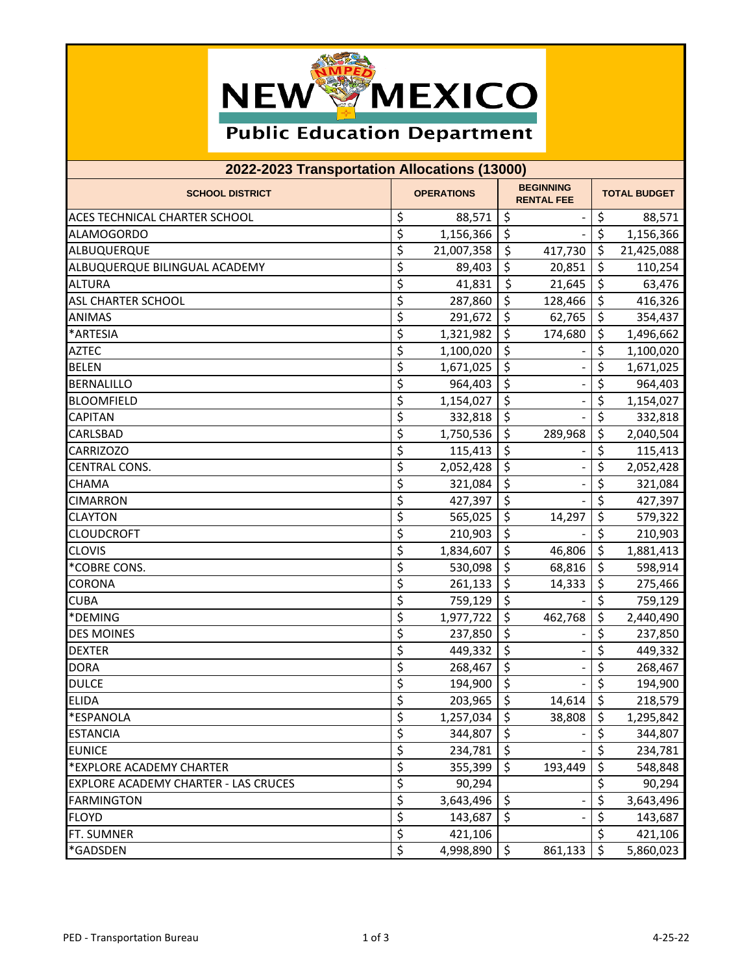

## **Public Education Department**

| 2022-2023 Transportation Allocations (13000) |                                 |                   |                                       |         |                     |            |  |
|----------------------------------------------|---------------------------------|-------------------|---------------------------------------|---------|---------------------|------------|--|
| <b>SCHOOL DISTRICT</b>                       |                                 | <b>OPERATIONS</b> | <b>BEGINNING</b><br><b>RENTAL FEE</b> |         | <b>TOTAL BUDGET</b> |            |  |
| ACES TECHNICAL CHARTER SCHOOL                | \$                              | 88,571            | $\zeta$                               |         | \$                  | 88,571     |  |
| <b>ALAMOGORDO</b>                            | \$                              | 1,156,366         | $\zeta$                               |         | \$                  | 1,156,366  |  |
| ALBUQUERQUE                                  | \$                              | 21,007,358        | \$                                    | 417,730 | \$                  | 21,425,088 |  |
| ALBUQUERQUE BILINGUAL ACADEMY                | \$                              | 89,403            | \$                                    | 20,851  | \$                  | 110,254    |  |
| <b>ALTURA</b>                                | \$                              | 41,831            | \$                                    | 21,645  | \$                  | 63,476     |  |
| <b>ASL CHARTER SCHOOL</b>                    | \$                              | 287,860           | \$                                    | 128,466 | \$                  | 416,326    |  |
| <b>ANIMAS</b>                                | \$                              | 291,672           | \$                                    | 62,765  | \$                  | 354,437    |  |
| *ARTESIA                                     | \$                              | 1,321,982         | \$                                    | 174,680 | \$                  | 1,496,662  |  |
| <b>AZTEC</b>                                 | \$                              | 1,100,020         | \$                                    |         | \$                  | 1,100,020  |  |
| <b>BELEN</b>                                 | \$                              | 1,671,025         | \$                                    |         | \$                  | 1,671,025  |  |
| <b>BERNALILLO</b>                            | \$                              | 964,403           | \$                                    |         | \$                  | 964,403    |  |
| <b>BLOOMFIELD</b>                            | \$                              | 1,154,027         | \$                                    |         | \$                  | 1,154,027  |  |
| <b>CAPITAN</b>                               | \$                              | 332,818           | \$                                    |         | \$                  | 332,818    |  |
| <b>CARLSBAD</b>                              | \$                              | 1,750,536         | \$                                    | 289,968 | \$                  | 2,040,504  |  |
| <b>CARRIZOZO</b>                             | \$                              | 115,413           | \$                                    |         | \$                  | 115,413    |  |
| <b>CENTRAL CONS.</b>                         | \$                              | 2,052,428         | \$                                    |         | \$                  | 2,052,428  |  |
| <b>CHAMA</b>                                 | \$                              | 321,084           | \$                                    |         | \$                  | 321,084    |  |
| <b>CIMARRON</b>                              | \$                              | 427,397           | \$                                    |         | \$                  | 427,397    |  |
| <b>CLAYTON</b>                               | \$                              | 565,025           | \$                                    | 14,297  | \$                  | 579,322    |  |
| <b>CLOUDCROFT</b>                            | $\overline{\boldsymbol{\zeta}}$ | 210,903           | \$                                    |         | \$                  | 210,903    |  |
| <b>CLOVIS</b>                                | \$                              | 1,834,607         | \$                                    | 46,806  | \$                  | 1,881,413  |  |
| *COBRE CONS.                                 | \$                              | 530,098           | \$                                    | 68,816  | \$                  | 598,914    |  |
| <b>CORONA</b>                                | \$                              | 261,133           | \$                                    | 14,333  | \$                  | 275,466    |  |
| <b>CUBA</b>                                  | \$                              | 759,129           | \$                                    |         | \$                  | 759,129    |  |
| *DEMING                                      | \$                              | 1,977,722         | $\overline{\xi}$                      | 462,768 | \$                  | 2,440,490  |  |
| <b>DES MOINES</b>                            | \$                              | 237,850           | \$                                    |         | \$                  | 237,850    |  |
| <b>DEXTER</b>                                | \$                              | 449,332           | \$                                    |         | \$                  | 449,332    |  |
| <b>DORA</b>                                  | \$                              | 268,467           | \$                                    |         | \$                  | 268,467    |  |
| <b>DULCE</b>                                 | \$                              | 194,900 \$        |                                       |         | \$                  | 194,900    |  |
| <b>ELIDA</b>                                 | \$                              | 203,965           | $\zeta$                               | 14,614  | $\ddot{\varsigma}$  | 218,579    |  |
| *ESPANOLA                                    | \$                              | 1,257,034         | \$                                    | 38,808  | \$                  | 1,295,842  |  |
| <b>ESTANCIA</b>                              | \$                              | 344,807           | \$                                    |         | \$                  | 344,807    |  |
| <b>EUNICE</b>                                | \$                              | 234,781           | $\zeta$                               |         | \$                  | 234,781    |  |
| *EXPLORE ACADEMY CHARTER                     | \$                              | 355,399           | $\zeta$                               | 193,449 | \$                  | 548,848    |  |
| <b>EXPLORE ACADEMY CHARTER - LAS CRUCES</b>  | \$                              | 90,294            |                                       |         | \$                  | 90,294     |  |
| <b>FARMINGTON</b>                            | \$                              | 3,643,496         | \$                                    |         | \$                  | 3,643,496  |  |
| <b>FLOYD</b>                                 | \$                              | 143,687           | \$                                    |         | $\zeta$             | 143,687    |  |
| FT. SUMNER                                   | $\overline{\varsigma}$          | 421,106           |                                       |         | \$                  | 421,106    |  |
| *GADSDEN                                     | \$                              | 4,998,890         | $\zeta$                               | 861,133 | $\zeta$             | 5,860,023  |  |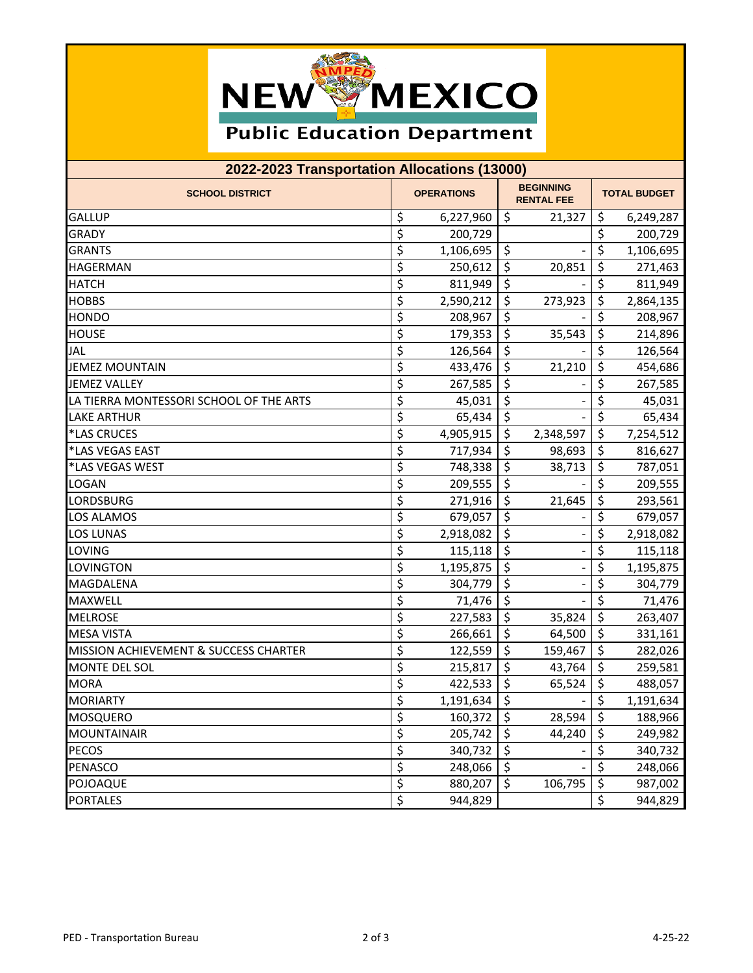

## **Public Education Department**

| 2022-2023 Transportation Allocations (13000) |                                 |                   |         |                                       |                     |           |  |
|----------------------------------------------|---------------------------------|-------------------|---------|---------------------------------------|---------------------|-----------|--|
| <b>SCHOOL DISTRICT</b>                       |                                 | <b>OPERATIONS</b> |         | <b>BEGINNING</b><br><b>RENTAL FEE</b> | <b>TOTAL BUDGET</b> |           |  |
| <b>GALLUP</b>                                | \$                              | 6,227,960         | $\zeta$ | 21,327                                | \$                  | 6,249,287 |  |
| <b>GRADY</b>                                 | \$                              | 200,729           |         |                                       | \$                  | 200,729   |  |
| <b>GRANTS</b>                                | $\overline{\mathcal{S}}$        | 1,106,695         | \$      |                                       | \$                  | 1,106,695 |  |
| <b>HAGERMAN</b>                              | \$                              | 250,612           | \$      | 20,851                                | \$                  | 271,463   |  |
| <b>HATCH</b>                                 | \$                              | 811,949           | \$      |                                       | \$                  | 811,949   |  |
| <b>HOBBS</b>                                 | \$                              | 2,590,212         | \$      | 273,923                               | \$                  | 2,864,135 |  |
| <b>HONDO</b>                                 | \$                              | 208,967           | \$      |                                       | \$                  | 208,967   |  |
| <b>HOUSE</b>                                 | \$                              | 179,353           | \$      | 35,543                                | \$                  | 214,896   |  |
| <b>JAL</b>                                   | \$                              | 126,564           | \$      |                                       | \$                  | 126,564   |  |
| <b>JEMEZ MOUNTAIN</b>                        | \$                              | 433,476           | \$      | 21,210                                | \$                  | 454,686   |  |
| <b>JEMEZ VALLEY</b>                          | $\overline{\mathcal{S}}$        | 267,585           | \$      |                                       | \$                  | 267,585   |  |
| LA TIERRA MONTESSORI SCHOOL OF THE ARTS      | \$                              | 45,031            | \$      |                                       | \$                  | 45,031    |  |
| <b>LAKE ARTHUR</b>                           | \$                              | 65,434            | \$      |                                       | \$                  | 65,434    |  |
| *LAS CRUCES                                  | \$                              | 4,905,915         | \$      | 2,348,597                             | \$                  | 7,254,512 |  |
| *LAS VEGAS EAST                              | \$                              | 717,934           | \$      | 98,693                                | \$                  | 816,627   |  |
| *LAS VEGAS WEST                              | \$                              | 748,338           | \$      | 38,713                                | \$                  | 787,051   |  |
| <b>LOGAN</b>                                 | \$                              | 209,555           | \$      |                                       | \$                  | 209,555   |  |
| <b>LORDSBURG</b>                             | \$                              | 271,916           | \$      | 21,645                                | \$                  | 293,561   |  |
| <b>LOS ALAMOS</b>                            | \$                              | 679,057           | \$      |                                       | \$                  | 679,057   |  |
| <b>LOS LUNAS</b>                             | \$                              | 2,918,082         | \$      |                                       | \$                  | 2,918,082 |  |
| <b>LOVING</b>                                | \$                              | 115,118           | \$      |                                       | \$                  | 115,118   |  |
| LOVINGTON                                    | \$                              | 1,195,875         | \$      |                                       | \$                  | 1,195,875 |  |
| <b>MAGDALENA</b>                             | \$                              | 304,779           | \$      |                                       | \$                  | 304,779   |  |
| <b>MAXWELL</b>                               | \$                              | 71,476            | \$      |                                       | \$                  | 71,476    |  |
| <b>MELROSE</b>                               | \$                              | 227,583           | \$      | 35,824                                | $\zeta$             | 263,407   |  |
| <b>MESA VISTA</b>                            | \$                              | 266,661           | $\zeta$ | 64,500                                | $\zeta$             | 331,161   |  |
| MISSION ACHIEVEMENT & SUCCESS CHARTER        | \$                              | 122,559           | \$      | 159,467                               | $\zeta$             | 282,026   |  |
| <b>MONTE DEL SOL</b>                         | \$                              | 215,817           | \$      | 43,764                                | \$                  | 259,581   |  |
| MORA                                         | $\overline{\mathcal{L}}$        | 422,533           | \$      | 65,524                                | $\zeta$             | 488,057   |  |
| <b>MORIARTY</b>                              | \$                              | 1,191,634         | $\zeta$ |                                       | $\zeta$             | 1,191,634 |  |
| <b>MOSQUERO</b>                              | \$                              | 160,372           | \$      | 28,594                                | \$                  | 188,966   |  |
| <b>MOUNTAINAIR</b>                           | $\overline{\boldsymbol{\zeta}}$ | 205,742           | \$      | 44,240                                | \$                  | 249,982   |  |
| <b>PECOS</b>                                 | \$                              | 340,732           | \$      |                                       | \$                  | 340,732   |  |
| <b>PENASCO</b>                               | \$                              | 248,066           | $\zeta$ |                                       | $\zeta$             | 248,066   |  |
| POJOAQUE                                     | $\overline{\xi}$                | 880,207           | $\zeta$ | 106,795                               | \$                  | 987,002   |  |
| <b>PORTALES</b>                              | $\overline{\xi}$                | 944,829           |         |                                       | \$                  | 944,829   |  |